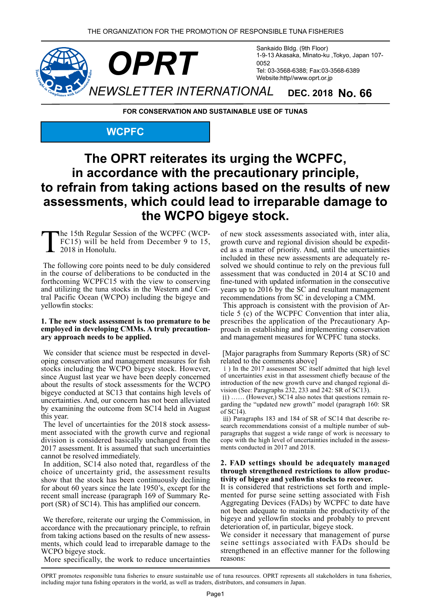

**FOR CONSERVATION AND SUSTAINABLE USE OF TUNAS** 

#### **WCPFC**

## The OPRT reiterates its urging the WCPFC, in accordance with the precautionary principle, to refrain from taking actions based on the results of new assessments, which could lead to irreparable damage to the WCPO bigeye stock.

The 15th Regular Session of the WCPFC (WCP-<br>FC15) will be held from December 9 to 15,<br>2018 in Honolulu. 2018 in Honolulu.

The following core points need to be duly considered in the course of deliberations to be conducted in the forthcoming WCPFC15 with the view to conserving tral Pacific Ocean (WCPO) including the bigeye and and utilizing the tuna stocks in the Western and Cenyellowfin stocks:

### **1. The new stock assessment is too premature to be** employed in developing CMMs. A truly precaution-<br>ary approach needs to be applied.

oping conservation and management measures for fish We consider that science must be respected in develstocks including the WCPO bigeye stock. However, since August last year we have been deeply concerned about the results of stock assessments for the WCPO bigeye conducted at SC13 that contains high levels of uncertainties. And, our concern has not been alleviated by examining the outcome from SC14 held in August this year.

ment associated with the growth curve and regional The level of uncertainties for the 2018 stock assessdivision is considered basically unchanged from the 2017 assessment. It is assumed that such uncertainties cannot be resolved immediately.

In addition, SC14 also noted that, regardless of the choice of uncertainty grid, the assessment results show that the stock has been continuously declining for about 60 years since the late  $1950'$ s, except for the port  $(SR)$  of  $SC14$ ). This has amplified our concern. recent small increase (paragraph 169 of Summary Re-

We therefore, reiterate our urging the Commission, in accordance with the precautionary principle, to refrain from taking actions based on the results of new assess-<br>ments, which could lead to irreparable damage to the WCPO bigeye stock.

More specifically, the work to reduce uncertainties

of new stock assessments associated with, inter alia, ed as a matter of priority. And, until the uncertainties growth curve and regional division should be expeditsolved we should continue to rely on the previous full included in these new assessments are adequately reassessment that was conducted in  $2014$  at SC10 and fine-tuned with updated information in the consecutive years up to  $2016$  by the SC and resultant management recommendations from SC in developing a CMM.

ticle  $5(\tilde{c})$  of the WCPFC Convention that inter alia, This approach is consistent with the provision of Arproach in establishing and implementing conservation prescribes the application of the Precautionary Apand management measures for WCPFC tuna stocks.

[Major paragraphs from Summary Reports (SR) of SC related to the comments above

i ) In the 2017 assessment SC itself admitted that high level of uncertainties exist in that assessment chiefly because of the vision (See: Paragraphs  $232$ , 233 and 242: SR of SC13). introduction of the new growth curve and changed regional di-

garding the "updated new growth" model (paragraph 160: SR  $i$ ) ...... (However,) SC14 also notes that questions remain reof  $SC14$ ).

paragraphs that suggest a wide range of work is necessary to search recommendations consist of a multiple number of subiii) Paragraphs 183 and 184 of SR of SC14 that describe recope with the high level of uncertainties included in the assessments conducted in 2017 and 2018.

#### 2. FAD settings should be adequately managed through strengthened restrictions to allow productivity of bigeye and yellowfin stocks to recover.

mented for purse seine setting associated with Fish It is considered that restrictions set forth and imple-Aggregating Devices (FADs) by WCPFC to date have not been adequate to maintain the productivity of the bigeye and yellowfin stocks and probably to prevent deterioration of, in particular, bigeye stock.

We consider it necessary that management of purse seine settings associated with FADs should be strengthened in an effective manner for the following reasons:

OPRT promotes responsible tuna fisheries to ensure sustainable use of tuna resources. OPRT represents all stakeholders in tuna fisheries, including major tuna fishing operators in the world, as well as traders, distributors, and consumers in Japan.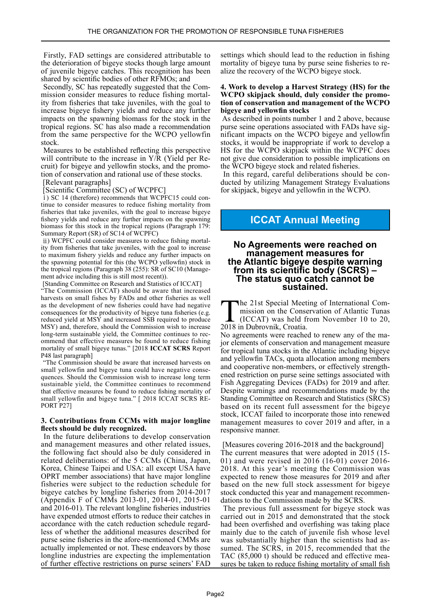Firstly, FAD settings are considered attributable to the deterioration of bigeye stocks though large amount of juvenile bigeye catches. This recognition has been shared by scientific bodies of other RFMOs; and

mission consider measures to reduce fishing mortality from fisheries that take juveniles, with the goal to Secondly, SC has repeatedly suggested that the Commission consider measures to reduce fishing mortalincrease bigeye fishery yields and reduce any further impacts on the spawning biomass for the stock in the tropical regions. SC has also made a recommendation from the same perspective for the WCPO yellowfin stock.

Measures to be established reflecting this perspective cruit) for bigeye and yellowfin stocks, and the promotion of conservation and rational use of these stocks. will contribute to the increase in  $Y/R$  (Yield per Recruit) for bigeye and yellowfin stocks, and the promowill contribute to the increase in  $Y/R$  (Yield per Re-

[Relevant paragraphs]

[Scientific Committee (SC) of WCPFC

i) SC 14 (therefore) recommends that WCPFC15 could continue to consider measures to reduce fishing mortality from fisheries that take juveniles, with the goal to increase bigeye fishery yields and reduce any further impacts on the spawning biomass for this stock in the tropical regions (Paragraph 179: Summary Report (SR) of SC14 of WCPFC)

ity from fisheries that take juveniles, with the goal to increase ii) WCPFC could consider measures to reduce fishing mortalto maximum fishery yields and reduce any further impacts on the spawning potential for this (the WCPO yellowfin) stock in the tropical regions (Paragraph 38 (255): SR of SC10 (Management advice including this is still most recent)).

[Standing Committee on Research and Statistics of ICCAT] "The Commission (ICCAT) should be aware that increased harvests on small fishes by FADs and other fisheries as well as the development of new fisheries could have had negative consequences for the productivity of bigeye tuna fisheries (e.g. reduced yield at MSY and increased SSB required to produce MSY) and, therefore, should the Commission wish to increase ommend that effective measures be found to reduce fishing long-term sustainable yield, the Committee continues to recmortality of small bigeye tunas." [2018 ICCAT SCRS Report [paragraph]

"The Commission should be aware that increased harvests on quences. Should the Commission wish to increase long term small yellowfin and bigeye tuna could have negative consesustainable yield, the Committee continues to recommend that effective measures be found to reduce fishing mortality of small yellowfin and bigeye tuna." [ 2018 ICCAT SCRS RE-<br>PORT P27]

#### **3. Contributions from CCMs with major longline** fleets should be duly recognized.

In the future deliberations to develop conservation and management measures and other related issues, the following fact should also be duly considered in related deliberations: of the 5 CCMs (China, Japan, Korea, Chinese Taipei and USA: all except USA have **OPRT** member associations) that have major longline fisheries were subject to the reduction schedule for bigeye catches by longline fisheries from  $2014-2017$ (Appendix F of CMMs 2013-01, 2014-01, 2015-01 and 2016-01). The relevant longline fisheries industries have expended utmost efforts to reduce their catches in accordance with the catch reduction schedule regard-<br>less of whether the additional measures described for purse seine fisheries in the afore-mentioned CMMs are actually implemented or not. These endeavors by those longline industries are expecting the implementation of further effective restrictions on purse seiners' FAD

settings which should lead to the reduction in fishing mortality of bigeye tuna by purse seine fisheries to realize the recovery of the WCPO bigeye stock.

#### **4. Work to develop a Harvest Strategy (HS) for the** tion of conservation and management of the WCPO **WCPO** skipjack should, duly consider the promo**bigeye** and yellowfin stocks

As described in points number 1 and 2 above, because nificant impacts on the WCPO bigeye and yellowfin purse seine operations associated with FADs have sigstocks, it would be inappropriate if work to develop a HS for the WCPO skipjack within the WCPFC does not give due consideration to possible implications on the WCPO bigeye stock and related fisheries.

ducted by utilizing Management Strategy Evaluations In this regard, careful deliberations should be confor skipjack, bigeye and yellowfin in the WCPO.

### **ICCAT Annual Meeting**

### **No Agreements were reached on<br>management measures for<br>the Atlantic bigeye despite warning** from its scientific body (SCRS) – The status quo catch cannot be **.sustained**

**The 21st Special Meeting of International Commission on the Conservation of Atlantic Tunas** The 21st Special Meeting of International Commission on the Conservation of Atlantic Tunas<br>(ICCAT) was held from November 10 to 20,<br>2018 in Dubrovnik Croatia 2018 in Dubrovnik, Croatia.

jor elements of conservation and management measure No agreements were reached to renew any of the mafor tropical tuna stocks in the Atlantic including bigeye and yellowfin TACs, quota allocation among members ened restriction on purse seine settings associated with and cooperative non-members, or effectively strength-Fish Aggregating Devices (FADs) for 2019 and after. Despite warnings and recommendations made by the Standing Committee on Research and Statistics (SRCS) based on its recent full assessment for the bigeye stock, ICCAT failed to incorporate those into renewed management measures to cover 2019 and after, in a responsive manner.

[Measures covering  $2016-2018$  and the background] The current measures that were adopted in 2015 (15-01) and were revised in  $2016 (16-01)$  cover  $2016$ -2018. At this year's meeting the Commission was expected to renew those measures for 2019 and after based on the new full stock assessment for bigeye stock conducted this year and management recommendations to the Commission made by the SCRS.

The previous full assessment for bigeye stock was carried out in 2015 and demonstrated that the stock had been overfished and overfishing was taking place mainly due to the catch of juvenile fish whose level sumed. The SCRS, in 2015, recommended that the was substantially higher than the scientists had assures be taken to reduce fishing mortality of small fish TAC  $(85,000)$  t) should be reduced and effective mea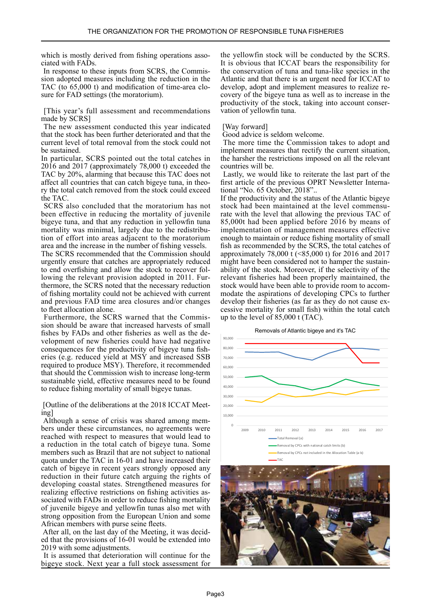which is mostly derived from fishing operations asso-<br>ciated with FADs.

sion adopted measures including the reduction in the In response to these inputs from SCRS, the Commis-TAC (to 65,000 t) and modification of time-area clo-<br>sure for FAD settings (the moratorium).

[This year's full assessment and recommendations] made by SCRS

The new assessment conducted this year indicated that the stock has been further deteriorated and that the current level of total removal from the stock could not he sustained

In particular, SCRS pointed out the total catches in  $2016$  and  $2017$  (approximately 78,000 t) exceeded the TAC by 20%, alarming that because this TAC does not affect all countries that can catch bigeye tuna, in theory the total catch removed from the stock could exceed the TAC.

SCRS also concluded that the moratorium has not been effective in reducing the mortality of juvenile bigeye tuna, and that any reduction in yellowfin tuna tion of effort into areas adjacent to the moratorium mortality was minimal, largely due to the redistribuarea and the increase in the number of fishing vessels.

The SCRS recommended that the Commission should urgently ensure that catches are appropriately reduced lowing the relevant provision adopted in 2011. Fur-<br>thermore, the SCRS noted that the necessary reduction to end overfishing and allow the stock to recover fol-<br>lowing the relevant provision adopted in 2011. Furto end overfishing and allow the stock to recover folof fishing mortality could not be achieved with current and previous FAD time area closures and/or changes to fleet allocation alone.

sion should be aware that increased harvests of small Furthermore, the SCRS warned that the Commisvelopment of new fisheries could have had negative fishes by FADs and other fisheries as well as the deconsequences for the productivity of bigeye tuna fisheries (e.g. reduced yield at MSY and increased SSB required to produce MSY). Therefore, it recommended that should the Commission wish to increase long-term sustainable yield, effective measures need to be found to reduce fishing mortality of small bigeye tunas.

[Outline of the deliberations at the 2018 ICCAT Meeting]

bers under these circumstances, no agreements were Although a sense of crisis was shared among memreached with respect to measures that would lead to a reduction in the total catch of bigeye tuna. Some members such as Brazil that are not subject to national quota under the TAC in 16-01 and have increased their catch of bigeye in recent years strongly opposed any reduction in their future catch arguing the rights of developing coastal states. Strengthened measures for sociated with FADs in order to reduce fishing mortality realizing effective restrictions on fishing activities asof juvenile bigeye and yellowfin tunas also met with strong opposition from the European Union and some African members with purse seine fleets.

After all, on the last day of the Meeting, it was decided that the provisions of 16-01 would be extended into 2019 with some adjustments.

It is assumed that deterioration will continue for the bigeye stock. Next year a full stock assessment for the yellowfin stock will be conducted by the SCRS. It is obvious that ICCAT bears the responsibility for the conservation of tuna and tuna-like species in the Atlantic and that there is an urgent need for ICCAT to covery of the bigeye tuna as well as to increase in the develop, adopt and implement measures to realize reproductivity of the stock, taking into account conservation of yellowfin tuna.

#### [Way forward]

Good advice is seldom welcome.

The more time the Commission takes to adopt and implement measures that rectify the current situation, the harsher the restrictions imposed on all the relevant countries will be.

Lastly, we would like to reiterate the last part of the first article of the previous OPRT Newsletter International "No. 65 October, 2018"..

If the productivity and the status of the Atlantic bigeye rate with the level that allowing the previous TAC of stock had been maintained at the level commensu- $85,000$ t had been applied before 2016 by means of implementation of management measures effective enough to maintain or reduce fishing mortality of small fish as recommended by the SCRS, the total catches of approximately 78,000 t  $(\le 85,000)$  t) for 2016 and 2017 might have been considered not to hamper the sustainability of the stock. Moreover, if the selectivity of the relevant fisheries had been properly maintained, the modate the aspirations of developing CPCs to further stock would have been able to provide room to accomcessive mortality for small fish) within the total catch develop their fisheries (as far as they do not cause exup to the level of  $85,000$  t (TAC).

Removals of Atlantic bigeye and it's TAC